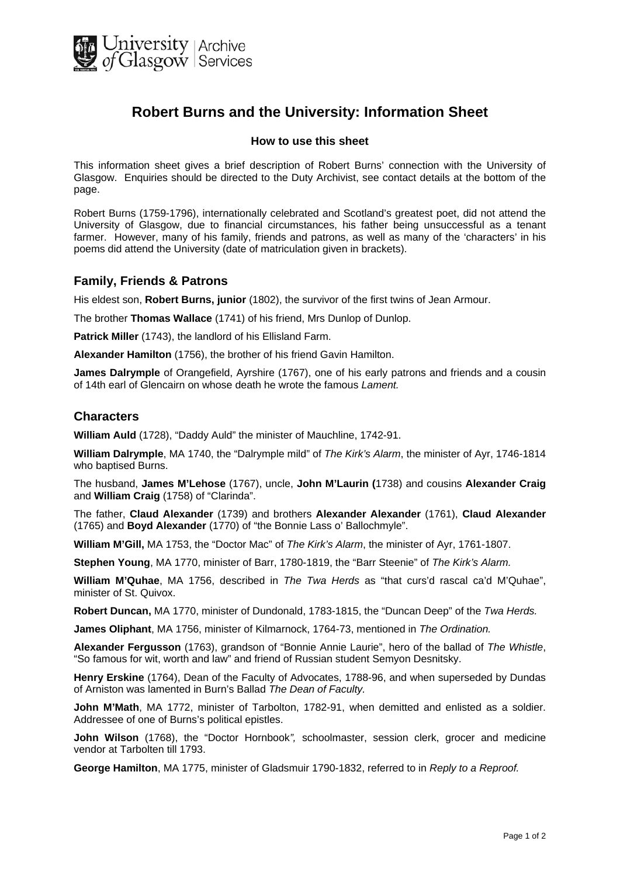

# **Robert Burns and the University: Information Sheet**

#### **How to use this sheet**

This information sheet gives a brief description of Robert Burns' connection with the University of Glasgow. Enquiries should be directed to the Duty Archivist, see contact details at the bottom of the page.

Robert Burns (1759-1796), internationally celebrated and Scotland's greatest poet, did not attend the University of Glasgow, due to financial circumstances, his father being unsuccessful as a tenant farmer. However, many of his family, friends and patrons, as well as many of the 'characters' in his poems did attend the University (date of matriculation given in brackets).

#### **Family, Friends & Patrons**

His eldest son, **Robert Burns, junior** (1802), the survivor of the first twins of Jean Armour.

The brother **Thomas Wallace** (1741) of his friend, Mrs Dunlop of Dunlop.

**Patrick Miller** (1743), the landlord of his Ellisland Farm.

**Alexander Hamilton** (1756), the brother of his friend Gavin Hamilton.

**James Dalrymple** of Orangefield, Ayrshire (1767), one of his early patrons and friends and a cousin of 14th earl of Glencairn on whose death he wrote the famous *Lament.*

#### **Characters**

**William Auld** (1728), "Daddy Auld" the minister of Mauchline, 1742-91.

**William Dalrymple**, MA 1740, the "Dalrymple mild" of *The Kirk's Alarm*, the minister of Ayr, 1746-1814 who baptised Burns.

The husband, **James M'Lehose** (1767), uncle, **John M'Laurin (**1738) and cousins **Alexander Craig**  and **William Craig** (1758) of "Clarinda".

The father, **Claud Alexander** (1739) and brothers **Alexander Alexander** (1761), **Claud Alexander** (1765) and **Boyd Alexander** (1770) of "the Bonnie Lass o' Ballochmyle".

**William M'Gill,** MA 1753, the "Doctor Mac" of *The Kirk's Alarm*, the minister of Ayr, 1761-1807.

**Stephen Young**, MA 1770, minister of Barr, 1780-1819, the "Barr Steenie" of *The Kirk's Alarm.*

**William M'Quhae**, MA 1756, described in *The Twa Herds* as "that curs'd rascal ca'd M'Quhae", minister of St. Quivox.

**Robert Duncan,** MA 1770, minister of Dundonald, 1783-1815, the "Duncan Deep" of the *Twa Herds.*

**James Oliphant**, MA 1756, minister of Kilmarnock, 1764-73, mentioned in *The Ordination.*

**Alexander Fergusson** (1763), grandson of "Bonnie Annie Laurie", hero of the ballad of *The Whistle*, "So famous for wit, worth and law" and friend of Russian student Semyon Desnitsky.

**Henry Erskine** (1764), Dean of the Faculty of Advocates, 1788-96, and when superseded by Dundas of Arniston was lamented in Burn's Ballad *The Dean of Faculty.* 

**John M'Math**, MA 1772, minister of Tarbolton, 1782-91, when demitted and enlisted as a soldier. Addressee of one of Burns's political epistles.

**John Wilson** (1768), the "Doctor Hornbook*",* schoolmaster, session clerk, grocer and medicine vendor at Tarbolten till 1793.

**George Hamilton**, MA 1775, minister of Gladsmuir 1790-1832, referred to in *Reply to a Reproof.*